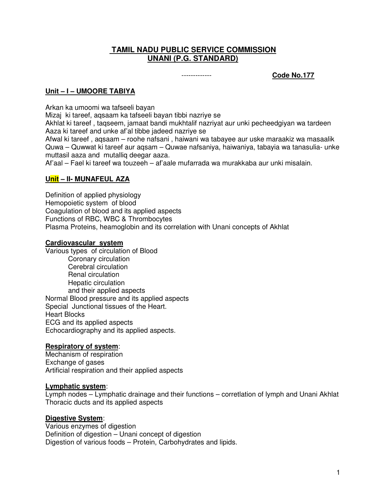## **TAMIL NADU PUBLIC SERVICE COMMISSION UNANI (P.G. STANDARD)**

------------- **Code No.177**

## **Unit – I – UMOORE TABIYA**

Arkan ka umoomi wa tafseeli bayan

Mizaj ki tareef, aqsaam ka tafseeli bayan tibbi nazriye se

Akhlat ki tareef , taqseem, jamaat bandi mukhtalif nazriyat aur unki pecheedgiyan wa tardeen Aaza ki tareef and unke af'al tibbe jadeed nazriye se

Afwal ki tareef , aqsaam – roohe nafsani , haiwani wa tabayee aur uske maraakiz wa masaalik Quwa – Quwwat ki tareef aur aqsam – Quwae nafsaniya, haiwaniya, tabayia wa tanasulia- unke muttasil aaza and mutalliq deegar aaza.

Af'aal – Fael ki tareef wa touzeeh – af'aale mufarrada wa murakkaba aur unki misalain.

## **Unit – II- MUNAFEUL AZA**

Definition of applied physiology Hemopoietic system of blood Coagulation of blood and its applied aspects Functions of RBC, WBC & Thrombocytes Plasma Proteins, heamoglobin and its correlation with Unani concepts of Akhlat

#### **Cardiovascular system**

Various types of circulation of Blood Coronary circulation Cerebral circulation Renal circulation Hepatic circulation and their applied aspects Normal Blood pressure and its applied aspects Special Junctional tissues of the Heart. Heart Blocks ECG and its applied aspects Echocardiography and its applied aspects.

#### **Respiratory of system**:

Mechanism of respiration Exchange of gases Artificial respiration and their applied aspects

#### **Lymphatic system**:

Lymph nodes – Lymphatic drainage and their functions – corretlation of lymph and Unani Akhlat Thoracic ducts and its applied aspects

#### **Digestive System**:

Various enzymes of digestion Definition of digestion – Unani concept of digestion Digestion of various foods – Protein, Carbohydrates and lipids.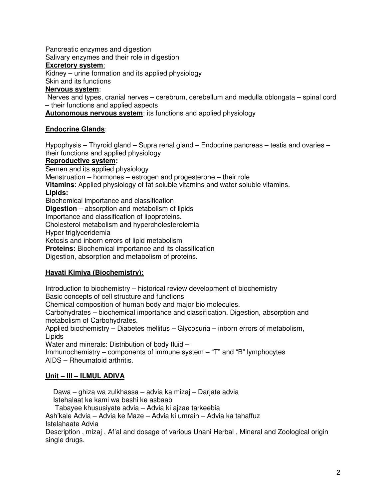Pancreatic enzymes and digestion

Salivary enzymes and their role in digestion

## **Excretory system**:

Kidney – urine formation and its applied physiology

Skin and its functions

## **Nervous system**:

 Nerves and types, cranial nerves – cerebrum, cerebellum and medulla oblongata – spinal cord – their functions and applied aspects

**Autonomous nervous system**: its functions and applied physiology

# **Endocrine Glands**:

Hypophysis – Thyroid gland – Supra renal gland – Endocrine pancreas – testis and ovaries – their functions and applied physiology

## **Reproductive system:**

Semen and its applied physiology Menstruation – hormones – estrogen and progesterone – their role **Vitamins**: Applied physiology of fat soluble vitamins and water soluble vitamins. **Lipids:**  Biochemical importance and classification **Digestion** – absorption and metabolism of lipids Importance and classification of lipoproteins. Cholesterol metabolism and hypercholesterolemia Hyper triglyceridemia Ketosis and inborn errors of lipid metabolism **Proteins:** Biochemical importance and its classification Digestion, absorption and metabolism of proteins.

## **Hayati Kimiya (Biochemistry):**

Introduction to biochemistry – historical review development of biochemistry Basic concepts of cell structure and functions Chemical composition of human body and major bio molecules. Carbohydrates – biochemical importance and classification. Digestion, absorption and

metabolism of Carbohydrates.

Applied biochemistry – Diabetes mellitus – Glycosuria – inborn errors of metabolism, Lipids

Water and minerals: Distribution of body fluid –

Immunochemistry – components of immune system – "T" and "B" lymphocytes AIDS – Rheumatoid arthritis.

# **Unit – III – ILMUL ADIVA**

 Dawa – ghiza wa zulkhassa – advia ka mizaj – Darjate advia Istehalaat ke kami wa beshi ke asbaab Tabayee khususiyate advia – Advia ki ajzae tarkeebia Ash'kale Advia – Advia ke Maze – Advia ki umrain – Advia ka tahaffuz Istelahaate Advia Description , mizaj , Af'al and dosage of various Unani Herbal , Mineral and Zoological origin single drugs.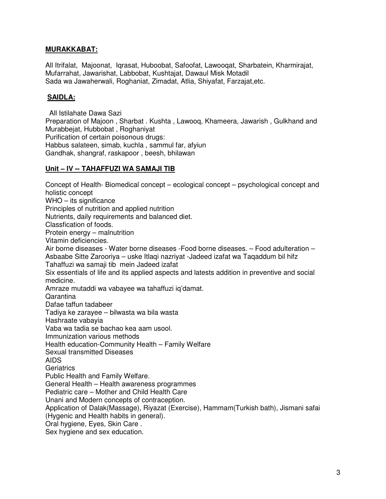## **MURAKKABAT:**

All Itrifalat, Majoonat, Iqrasat, Huboobat, Safoofat, Lawooqat, Sharbatein, Kharmirajat, Mufarrahat, Jawarishat, Labbobat, Kushtajat, Dawaul Misk Motadil Sada wa Jawaherwali, Roghaniat, Zimadat, Atlia, Shiyafat, Farzajat,etc.

## **SAIDLA:**

 All Istilahate Dawa Sazi Preparation of Majoon , Sharbat . Kushta , Lawooq, Khameera, Jawarish , Gulkhand and Murabbejat, Hubbobat , Roghaniyat Purification of certain poisonous drugs: Habbus salateen, simab, kuchla , sammul far, afyiun

Gandhak, shangraf, raskapoor , beesh, bhilawan

#### **Unit – IV -- TAHAFFUZI WA SAMAJI TIB**

Concept of Health- Biomedical concept – ecological concept – psychological concept and holistic concept WHO – its significance Principles of nutrition and applied nutrition Nutrients, daily requirements and balanced diet. Classfication of foods. Protein energy – malnutrition Vitamin deficiencies. Air borne diseases - Water borne diseases -Food borne diseases. – Food adulteration – Asbaabe Sitte Zarooriya – uske Itlaqi nazriyat -Jadeed izafat wa Taqaddum bil hifz Tahaffuzi wa samaji tib mein Jadeed izafat Six essentials of life and its applied aspects and latests addition in preventive and social medicine. Amraze mutaddi wa vabayee wa tahaffuzi iq'damat. Qarantina Dafae taffun tadabeer Tadiya ke zarayee – bilwasta wa bila wasta Hashraate vabayia Vaba wa tadia se bachao kea aam usool. Immunization various methods Health education-Community Health – Family Welfare Sexual transmitted Diseases AIDS **Geriatrics** Public Health and Family Welfare. General Health – Health awareness programmes Pediatric care – Mother and Child Health Care Unani and Modern concepts of contraception. Application of Dalak(Massage), Riyazat (Exercise), Hammam(Turkish bath), Jismani safai (Hygenic and Health habits in general). Oral hygiene, Eyes, Skin Care . Sex hygiene and sex education.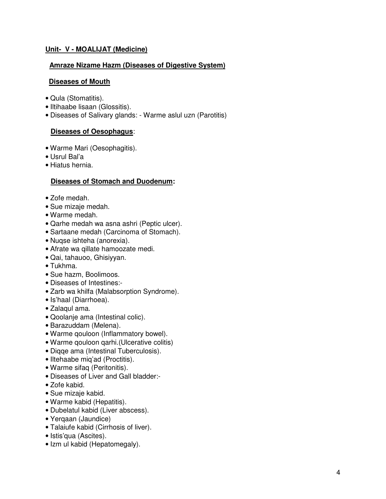## **Unit- V - MOALIJAT (Medicine)**

#### **Amraze Nizame Hazm (Diseases of Digestive System)**

#### **Diseases of Mouth**

- Qula (Stomatitis).
- Iltihaabe lisaan (Glossitis).
- Diseases of Salivary glands: Warme aslul uzn (Parotitis)

#### **Diseases of Oesophagus**:

- Warme Mari (Oesophagitis).
- Usrul Bal'a
- Hiatus hernia.

#### **Diseases of Stomach and Duodenum:**

- Zofe medah.
- Sue mizaje medah.
- Warme medah.
- Qarhe medah wa asna ashri (Peptic ulcer).
- Sartaane medah (Carcinoma of Stomach).
- Nuqse ishteha (anorexia).
- Afrate wa qillate hamoozate medi.
- Qai, tahauoo, Ghisiyyan.
- Tukhma.
- Sue hazm, Boolimoos.
- Diseases of Intestines:-
- Zarb wa khilfa (Malabsorption Syndrome).
- Is'haal (Diarrhoea).
- Zalaqul ama.
- Qoolanje ama (Intestinal colic).
- Barazuddam (Melena).
- Warme qouloon (Inflammatory bowel).
- Warme qouloon qarhi.(Ulcerative colitis)
- Diqqe ama (Intestinal Tuberculosis).
- Iltehaabe miq'ad (Proctitis).
- Warme sifaq (Peritonitis).
- Diseases of Liver and Gall bladder:-
- Zofe kabid.
- Sue mizaje kabid.
- Warme kabid (Hepatitis).
- Dubelatul kabid (Liver abscess).
- Yerqaan (Jaundice)
- Talaiufe kabid (Cirrhosis of liver).
- Istis'qua (Ascites).
- Izm ul kabid (Hepatomegaly).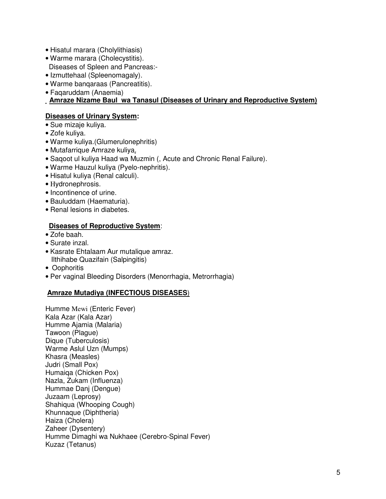- Hisatul marara (Cholylithiasis)
- Warme marara (Cholecystitis).
- Diseases of Spleen and Pancreas:-
- Izmuttehaal (Spleenomagaly).
- Warme banqaraas (Pancreatitis).
- Faqaruddam (Anaemia)

#### **Amraze Nizame Baul wa Tanasul (Diseases of Urinary and Reproductive System)**

#### **Diseases of Urinary System:**

- Sue mizaje kuliya.
- Zofe kuliya.
- Warme kuliya.(Glumerulonephritis)
- Mutafarrique Amraze kuliya.
- Saqoot ul kuliya Haad wa Muzmin (, Acute and Chronic Renal Failure).
- Warme Hauzul kuliya (Pyelo-nephritis).
- Hisatul kuliya (Renal calculi).
- Ηydronephrosis.
- Incontinence of urine.
- Bauluddam (Haematuria).
- Renal lesions in diabetes.

#### **Diseases of Reproductive System**:

- Zofe baah.
- Surate inzal.
- Kasrate Ehtalaam Aur mutalique amraz. Ilthihabe Quazifain (Salpingitis)
- Oophoritis
- Per vaginal Bleeding Disorders (Menorrhagia, Metrorrhagia)

#### **Amraze Mutadiya (INFECTIOUS DISEASES**)

Humme Mewi (Enteric Fever) Kala Azar (Kala Azar) Humme Ajamia (Malaria) Tawoon (Plague) Dique (Tuberculosis) Warme Aslul Uzn (Mumps) Khasra (Measles) Judri (Small Pox) Humaiqa (Chicken Pox) Nazla, Zukam (Influenza) Hummae Danj (Dengue) Juzaam (Leprosy) Shahiqua (Whooping Cough) Khunnaque (Diphtheria) Haiza (Cholera) Zaheer (Dysentery) Humme Dimaghi wa Nukhaee (Cerebro-Spinal Fever) Kuzaz (Tetanus)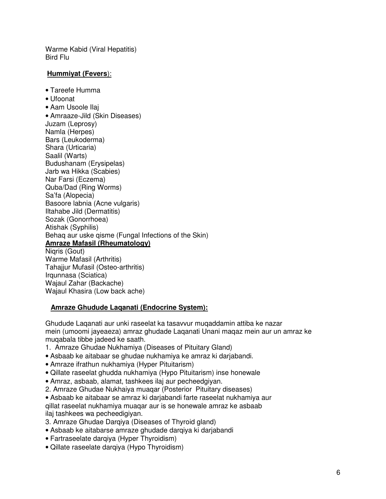Warme Kabid (Viral Hepatitis) Bird Flu

## **Hummiyat (Fevers**):

• Tareefe Humma

• Ufoonat

• Aam Usoole Ilaj • Amraaze-Jild (Skin Diseases) Juzam (Leprosy) Namla (Herpes) Bars (Leukoderma) Shara (Urticaria) Saalil (Warts) Budushanam (Erysipelas) Jarb wa Hikka (Scabies) Nar Farsi (Eczema) Quba/Dad (Ring Worms) Sa'fa (Alopecia) Basoore labnia (Acne vulgaris) Iltahabe Jild (Dermatitis) Sozak (Gonorrhoea) Atishak (Syphilis) Behaq aur uske qisme (Fungal Infections of the Skin) **Amraze Mafasil (Rheumatology)** Niaris (Gout) Warme Mafasil (Arthritis) Tahajjur Mufasil (Osteo-arthritis) Irqunnasa (Sciatica) Wajaul Zahar (Backache) Wajaul Khasira (Low back ache)

#### **Amraze Ghudude Laqanati (Endocrine System):**

Ghudude Laqanati aur unki raseelat ka tasavvur muqaddamin attiba ke nazar mein (umoomi jayeaeza) amraz ghudade Laqanati Unani maqaz mein aur un amraz ke muqabala tibbe jadeed ke saath.

- 1. Amraze Ghudae Nukhamiya (Diseases of Pituitary Gland)
- Asbaab ke aitabaar se ghudae nukhamiya ke amraz ki darjabandi.
- Amraze ifrathun nukhamiya (Hyper Pituitarism)
- Qillate raseelat ghudda nukhamiya (Hypo Pituitarism) inse honewale
- Amraz, asbaab, alamat, tashkees ilaj aur pecheedgiyan.
- 2. Amraze Ghudae Nukhaiya muaqar (Posterior Pituitary diseases)
- Asbaab ke aitabaar se amraz ki darjabandi farte raseelat nukhamiya aur qillat raseelat nukhamiya muaqar aur is se honewale amraz ke asbaab ilaj tashkees wa pecheedigiyan.
- 3. Amraze Ghudae Darqiya (Diseases of Thyroid gland)
- Asbaab ke aitabarse amraze ghudade darqiya ki darjabandi
- Fartraseelate darqiya (Hyper Thyroidism)
- Qillate raseelate darqiya (Hypo Thyroidism)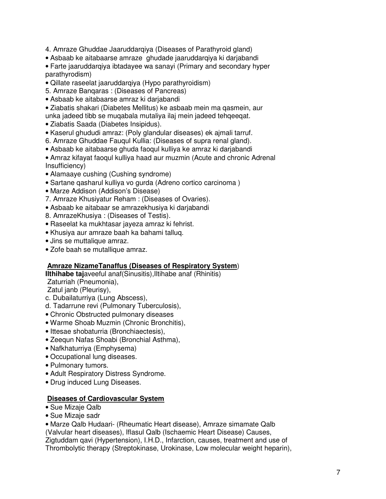- 4. Amraze Ghuddae Jaaruddarqiya (Diseases of Parathyroid gland)
- Asbaab ke aitabaarse amraze ghudade jaaruddarqiya ki darjabandi
- Farte jaaruddarqiya ibtadayee wa sanayi (Primary and secondary hyper parathyrodism)
- Qillate raseelat jaaruddarqiya (Hypo parathyroidism)
- 5. Amraze Banqaras : (Diseases of Pancreas)
- Asbaab ke aitabaarse amraz ki darjabandi
- Ziabatis shakari (Diabetes Mellitus) ke asbaab mein ma qasmein, aur unka jadeed tibb se muqabala mutaliya ilaj mein jadeed tehqeeqat.
- Ziabatis Saada (Diabetes Insipidus).
- Kaserul ghududi amraz: (Poly glandular diseases) ek ajmali tarruf.
- 6. Amraze Ghuddae Fauqul Kullia: (Diseases of supra renal gland).
- Asbaab ke aitabaarse ghuda faoqul kulliya ke amraz ki darjabandi
- Amraz kifayat faoqul kulliya haad aur muzmin (Acute and chronic Adrenal Insufficiency)
- Alamaaye cushing (Cushing syndrome)
- Sartane qasharul kulliya vo gurda (Adreno cortico carcinoma )
- Marze Addison (Addison's Disease)
- 7. Amraze Khusiyatur Reham : (Diseases of Ovaries).
- Asbaab ke aitabaar se amrazekhusiya ki darjabandi
- 8. AmrazeKhusiya : (Diseases of Testis).
- Raseelat ka mukhtasar jayeza amraz ki fehrist.
- Khusiya aur amraze baah ka bahami talluq.
- Jins se muttalique amraz.
- Zofe baah se mutallique amraz.

#### **Amraze NizameTanaffus (Diseases of Respiratory System**)

**Ilthihabe taj**aveeful anaf(Sinusitis),Iltihabe anaf (Rhinitis)

Zaturriah (Pneumonia),

Zatul janb (Pleurisy),

- c. Dubailaturriya (Lung Abscess),
- d. Tadarrune revi (Pulmonary Tuberculosis),
- Chronic Obstructed pulmonary diseases
- Warme Shoab Muzmin (Chronic Bronchitis),
- Ittesae shobaturria (Bronchiaectesis),
- Zeequn Nafas Shoabi (Bronchial Asthma),
- Nafkhaturriya (Emphysema)
- Occupational lung diseases.
- Pulmonary tumors.
- Adult Respiratory Distress Syndrome.
- Drug induced Lung Diseases.

#### **Diseases of Cardiovascular System**

- Sue Mizaje Qalb
- Sue Mizaje sadr

• Marze Qalb Hudaari- (Rheumatic Heart disease), Amraze simamate Qalb (Valvular heart diseases), Iflasul Qalb (Ischaemic Heart Disease) Causes, Zigtuddam qavi (Hypertension), I.H.D., Infarction, causes, treatment and use of Thrombolytic therapy (Streptokinase, Urokinase, Low molecular weight heparin),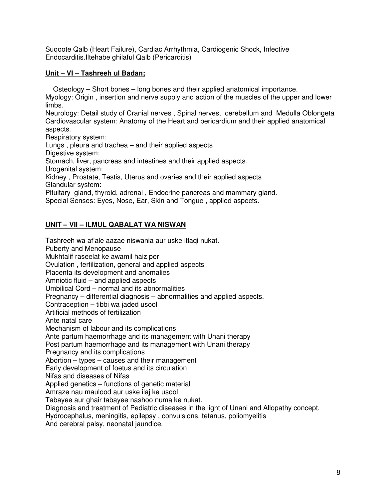Suqoote Qalb (Heart Failure), Cardiac Arrhythmia, Cardiogenic Shock, Infective Endocarditis.Iltehabe ghilaful Qalb (Pericarditis)

## **Unit – VI – Tashreeh ul Badan;**

 Osteology – Short bones – long bones and their applied anatomical importance. Myology: Origin , insertion and nerve supply and action of the muscles of the upper and lower limbs.

Neurology: Detail study of Cranial nerves , Spinal nerves, cerebellum and Medulla Oblongeta Cardiovascular system: Anatomy of the Heart and pericardium and their applied anatomical aspects.

Respiratory system:

Lungs , pleura and trachea – and their applied aspects

Digestive system:

Stomach, liver, pancreas and intestines and their applied aspects.

Urogenital system:

Kidney , Prostate, Testis, Uterus and ovaries and their applied aspects Glandular system:

Pituitary gland, thyroid, adrenal , Endocrine pancreas and mammary gland.

Special Senses: Eyes, Nose, Ear, Skin and Tongue , applied aspects.

## **UNIT – VII – ILMUL QABALAT WA NISWAN**

Tashreeh wa af'ale aazae niswania aur uske itlaqi nukat. Puberty and Menopause Mukhtalif raseelat ke awamil haiz per Ovulation , fertilization, general and applied aspects Placenta its development and anomalies Amniotic fluid – and applied aspects Umbilical Cord – normal and its abnormalities Pregnancy – differential diagnosis – abnormalities and applied aspects. Contraception – tibbi wa jaded usool Artificial methods of fertilization Ante natal care Mechanism of labour and its complications Ante partum haemorrhage and its management with Unani therapy Post partum haemorrhage and its management with Unani therapy Pregnancy and its complications Abortion – types – causes and their management Early development of foetus and its circulation Nifas and diseases of Nifas Applied genetics – functions of genetic material Amraze nau maulood aur uske ilaj ke usool Tabayee aur ghair tabayee nashoo numa ke nukat. Diagnosis and treatment of Pediatric diseases in the light of Unani and Allopathy concept. Hydrocephalus, meningitis, epilepsy , convulsions, tetanus, poliomyelitis And cerebral palsy, neonatal jaundice.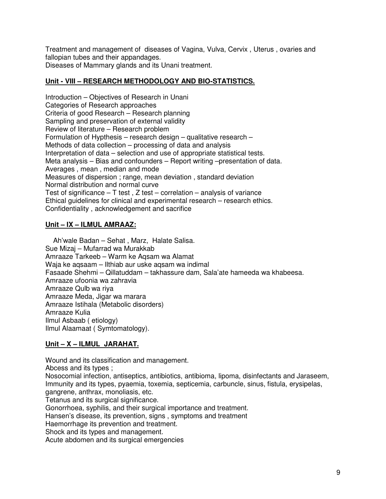Treatment and management of diseases of Vagina, Vulva, Cervix , Uterus , ovaries and fallopian tubes and their appandages. Diseases of Mammary glands and its Unani treatment.

## **Unit - VIII – RESEARCH METHODOLOGY AND BIO-STATISTICS.**

Introduction – Objectives of Research in Unani Categories of Research approaches Criteria of good Research – Research planning Sampling and preservation of external validity Review of literature – Research problem Formulation of Hypthesis – research design – qualitative research – Methods of data collection – processing of data and analysis Interpretation of data – selection and use of appropriate statistical tests. Meta analysis – Bias and confounders – Report writing –presentation of data. Averages , mean , median and mode Measures of dispersion ; range, mean deviation , standard deviation Normal distribution and normal curve Test of significance  $-$  T test, Z test – correlation – analysis of variance Ethical guidelines for clinical and experimental research – research ethics. Confidentiality , acknowledgement and sacrifice

## **Unit – IX – ILMUL AMRAAZ:**

 Ah'wale Badan – Sehat , Marz, Halate Salisa. Sue Mizaj – Mufarrad wa Murakkab Amraaze Tarkeeb – Warm ke Aqsam wa Alamat Waja ke aqsaam – Ilthiab aur uske aqsam wa indimal Fasaade Shehmi – Qillatuddam – takhassure dam, Sala'ate hameeda wa khabeesa. Amraaze ufoonia wa zahravia Amraaze Qulb wa riya Amraaze Meda, Jigar wa marara Amraaze Istihala (Metabolic disorders) Amraaze Kulia Ilmul Asbaab ( etiology) Ilmul Alaamaat ( Symtomatology).

## **Unit – X – ILMUL JARAHAT.**

Wound and its classification and management.

Abcess and its types ;

Nosocomial infection, antiseptics, antibiotics, antibioma, lipoma, disinfectants and Jaraseem, Immunity and its types, pyaemia, toxemia, septicemia, carbuncle, sinus, fistula, erysipelas, gangrene, anthrax, monoliasis, etc.

Tetanus and its surgical significance.

Gonorrhoea, syphilis, and their surgical importance and treatment.

Hansen's disease, its prevention, signs , symptoms and treatment

Haemorrhage its prevention and treatment.

Shock and its types and management.

Acute abdomen and its surgical emergencies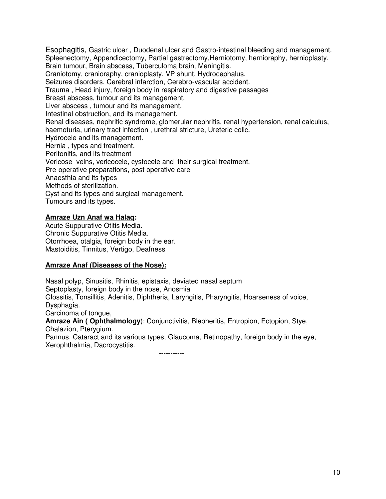Esophagitis, Gastric ulcer , Duodenal ulcer and Gastro-intestinal bleeding and management. Spleenectomy, Appendicectomy, Partial gastrectomy, Herniotomy, hernioraphy, hernioplasty. Brain tumour, Brain abscess, Tuberculoma brain, Meningitis. Craniotomy, cranioraphy, cranioplasty, VP shunt, Hydrocephalus. Seizures disorders, Cerebral infarction, Cerebro-vascular accident. Trauma , Head injury, foreign body in respiratory and digestive passages Breast abscess, tumour and its management. Liver abscess , tumour and its management. Intestinal obstruction, and its management. Renal diseases, nephritic syndrome, glomerular nephritis, renal hypertension, renal calculus, haemoturia, urinary tract infection , urethral stricture, Ureteric colic. Hydrocele and its management. Hernia , types and treatment. Peritonitis, and its treatment Vericose veins, vericocele, cystocele and their surgical treatment, Pre-operative preparations, post operative care Anaesthia and its types Methods of sterilization. Cyst and its types and surgical management. Tumours and its types.

#### **Amraze Uzn Anaf wa Halaq:**

Acute Suppurative Otitis Media. Chronic Suppurative Otitis Media. Otorrhoea, otalgia, foreign body in the ear. Mastoiditis, Tinnitus, Vertigo, Deafness

#### **Amraze Anaf (Diseases of the Nose):**

Nasal polyp, Sinusitis, Rhinitis, epistaxis, deviated nasal septum Septoplasty, foreign body in the nose, Anosmia Glossitis, Tonsillitis, Adenitis, Diphtheria, Laryngitis, Pharyngitis, Hoarseness of voice, Dysphagia. Carcinoma of tongue, **Amraze Ain ( Ophthalmology**): Conjunctivitis, Blepheritis, Entropion, Ectopion, Stye, Chalazion, Pterygium.

Pannus, Cataract and its various types, Glaucoma, Retinopathy, foreign body in the eye, Xerophthalmia, Dacrocystitis.

-----------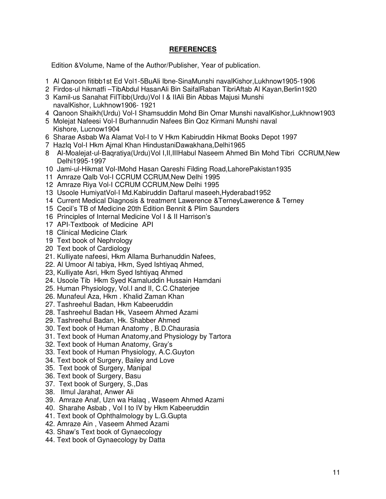## **REFERENCES**

Edition &Volume, Name of the Author/Publisher, Year of publication.

- 1 Al Qanoon fitibb1st Ed Vol1-5BuAli Ibne-SinaMunshi navalKishor,Lukhnow1905-1906
- 2 Firdos-ul hikmatfi –TibAbdul HasanAli Bin SaifalRaban TibriAftab Al Kayan,Berlin1920
- 3 Kamil-us Sanahat FilTibb(Urdu)Vol I & IIAli Bin Abbas Majusi Munshi navalKishor, Lukhnow1906- 1921
- 4 Qanoon Shaikh(Urdu) Vol-I Shamsuddin Mohd Bin Omar Munshi navalKishor,Lukhnow1903
- 5 Molejat Nafeesi Vol-I Burhannudin Nafees Bin Qoz Kirmani Munshi naval Kishore, Lucnow1904
- 6 Sharae Asbab Wa Alamat Vol-I to V Hkm Kabiruddin Hikmat Books Depot 1997
- 7 HazIq Vol-I Hkm Ajmal Khan HindustaniDawakhana,Delhi1965
- 8 Al-Moalejat-ul-Baqratiya(Urdu)Vol I,II,IIIHabul Naseem Ahmed Bin Mohd Tibri CCRUM,New Delhi1995-1997
- 10 Jami-ul-Hikmat Vol-IMohd Hasan Qareshi Filding Road,LahorePakistan1935
- 11 Amraze Qalb Vol-I CCRUM CCRUM,New Delhi 1995
- 12 Amraze Riya Vol-I CCRUM CCRUM,New Delhi 1995
- 13 Usoole HumiyatVol-I Md.Kabiruddin Daftarul maseeh,Hyderabad1952
- 14 Current Medical Diagnosis & treatment Lawerence &TerneyLawerence & Terney
- 15 Cecil's TB of Medicine 20th Edition Bennit & Plim Saunders
- 16 Principles of Internal Medicine Vol I & II Harrison's
- 17 API-Textbook of Medicine API
- 18 Clinical Medicine Clark
- 19 Text book of Nephrology
- 20 Text book of Cardiology
- 21. Kulliyate nafeesi, Hkm Allama Burhanuddin Nafees,
- 22. Al Umoor Al tabiya, Hkm, Syed Ishtiyaq Ahmed,
- 23, Kulliyate Asri, Hkm Syed Ishtiyaq Ahmed
- 24. Usoole Tib Hkm Syed Kamaluddin Hussain Hamdani
- 25. Human Physiology, Vol.I and II, C.C.Chaterjee
- 26. Munafeul Aza, Hkm . Khalid Zaman Khan
- 27. Tashreehul Badan, Hkm Kabeeruddin
- 28. Tashreehul Badan Hk, Vaseem Ahmed Azami
- 29. Tashreehul Badan, Hk. Shabber Ahmed
- 30. Text book of Human Anatomy , B.D.Chaurasia
- 31. Text book of Human Anatomy,and Physiology by Tartora
- 32. Text book of Human Anatomy, Gray's
- 33. Text book of Human Physiology, A.C.Guyton
- 34. Text book of Surgery, Bailey and Love
- 35. Text book of Surgery, Manipal
- 36. Text book of Surgery, Basu
- 37. Text book of Surgery, S.,Das
- 38. Ilmul Jarahat, Anwer Ali
- 39. Amraze Anaf, Uzn wa Halaq , Waseem Ahmed Azami
- 40. Sharahe Asbab , Vol I to IV by Hkm Kabeeruddin
- 41. Text book of Ophthalmology by L.G.Gupta
- 42. Amraze Ain , Vaseem Ahmed Azami
- 43. Shaw's Text book of Gynaecology
- 44. Text book of Gynaecology by Datta